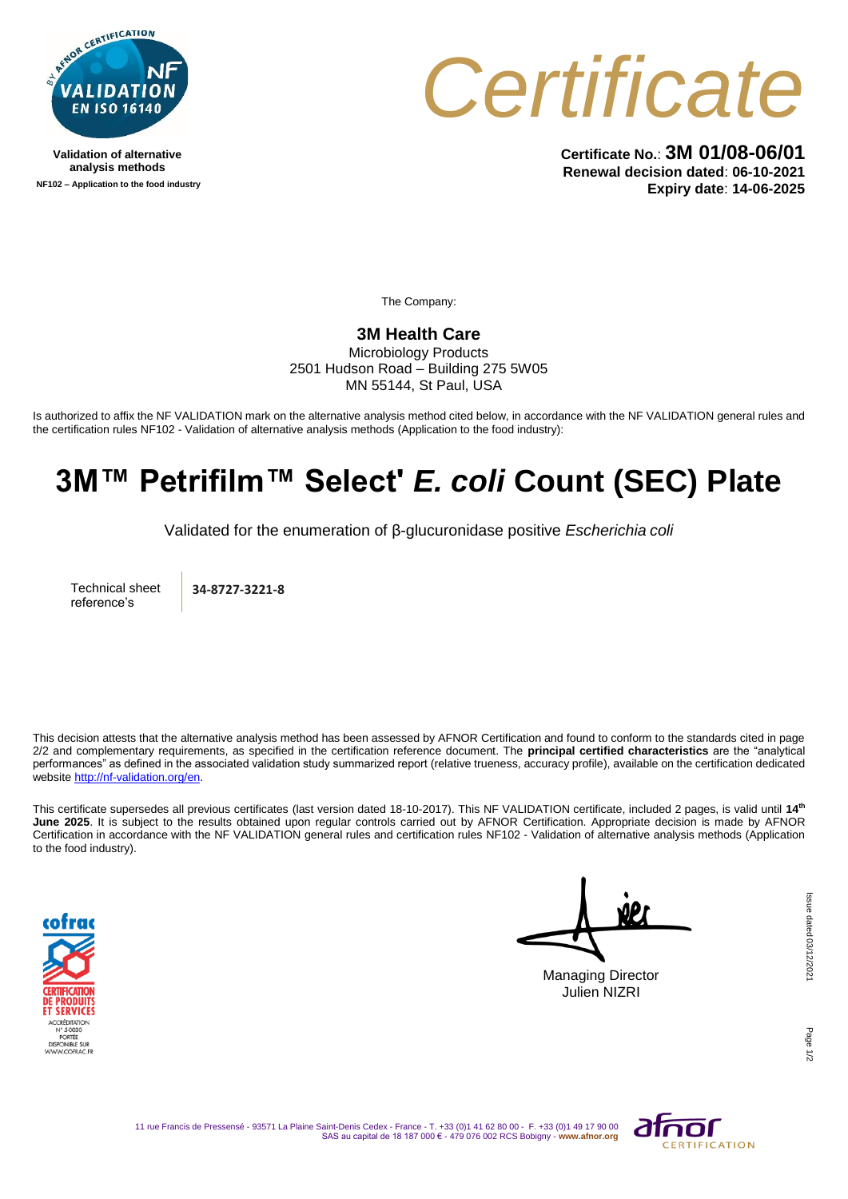

**Validation of alternative analysis methods NF102 – Application to the food industry**



**Certificate No.**: **3M 01/08-06/01 Renewal decision dated**: **06-10-2021 Expiry date**: **14-06-2025**

The Company:

## **3M Health Care**

Microbiology Products 2501 Hudson Road – Building 275 5W05 MN 55144, St Paul, USA

Is authorized to affix the NF VALIDATION mark on the alternative analysis method cited below, in accordance with the NF VALIDATION general rules and the certification rules NF102 - Validation of alternative analysis methods (Application to the food industry):

## **3M™ Petrifilm™ Select'** *E. coli* **Count (SEC) Plate**

Validated for the enumeration of β-glucuronidase positive *Escherichia coli* 

Technical sheet reference's

**34-8727-3221-8**

This decision attests that the alternative analysis method has been assessed by AFNOR Certification and found to conform to the standards cited in page 2/2 and complementary requirements, as specified in the certification reference document. The **principal certified characteristics** are the "analytical performances" as defined in the associated validation study summarized report (relative trueness, accuracy profile), available on the certification dedicated websit[e http://nf-validation.org/en.](http://nf-validation.org/en)

This certificate supersedes all previous certificates (last version dated 18-10-2017). This NF VALIDATION certificate, included 2 pages, is valid until **14th June 2025**. It is subject to the results obtained upon regular controls carried out by AFNOR Certification. Appropriate decision is made by AFNOR Certification in accordance with the NF VALIDATION general rules and certification rules NF102 - Validation of alternative analysis methods (Application to the food industry).



Managing Director Julien NIZRI